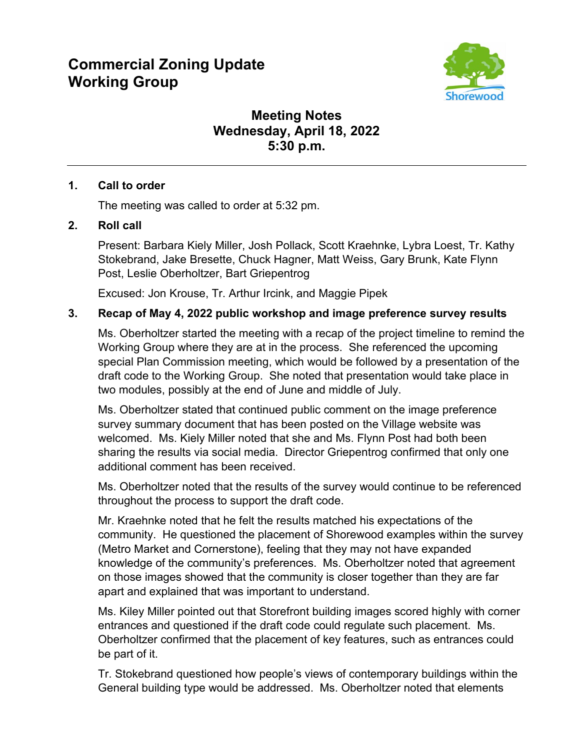# **Commercial Zoning Update Working Group**



# **Meeting Notes Wednesday, April 18, 2022 5:30 p.m.**

# **1. Call to order**

The meeting was called to order at 5:32 pm.

# **2. Roll call**

Present: Barbara Kiely Miller, Josh Pollack, Scott Kraehnke, Lybra Loest, Tr. Kathy Stokebrand, Jake Bresette, Chuck Hagner, Matt Weiss, Gary Brunk, Kate Flynn Post, Leslie Oberholtzer, Bart Griepentrog

Excused: Jon Krouse, Tr. Arthur Ircink, and Maggie Pipek

# **3. Recap of May 4, 2022 public workshop and image preference survey results**

Ms. Oberholtzer started the meeting with a recap of the project timeline to remind the Working Group where they are at in the process. She referenced the upcoming special Plan Commission meeting, which would be followed by a presentation of the draft code to the Working Group. She noted that presentation would take place in two modules, possibly at the end of June and middle of July.

Ms. Oberholtzer stated that continued public comment on the image preference survey summary document that has been posted on the Village website was welcomed. Ms. Kiely Miller noted that she and Ms. Flynn Post had both been sharing the results via social media. Director Griepentrog confirmed that only one additional comment has been received.

Ms. Oberholtzer noted that the results of the survey would continue to be referenced throughout the process to support the draft code.

Mr. Kraehnke noted that he felt the results matched his expectations of the community. He questioned the placement of Shorewood examples within the survey (Metro Market and Cornerstone), feeling that they may not have expanded knowledge of the community's preferences. Ms. Oberholtzer noted that agreement on those images showed that the community is closer together than they are far apart and explained that was important to understand.

Ms. Kiley Miller pointed out that Storefront building images scored highly with corner entrances and questioned if the draft code could regulate such placement. Ms. Oberholtzer confirmed that the placement of key features, such as entrances could be part of it.

Tr. Stokebrand questioned how people's views of contemporary buildings within the General building type would be addressed. Ms. Oberholtzer noted that elements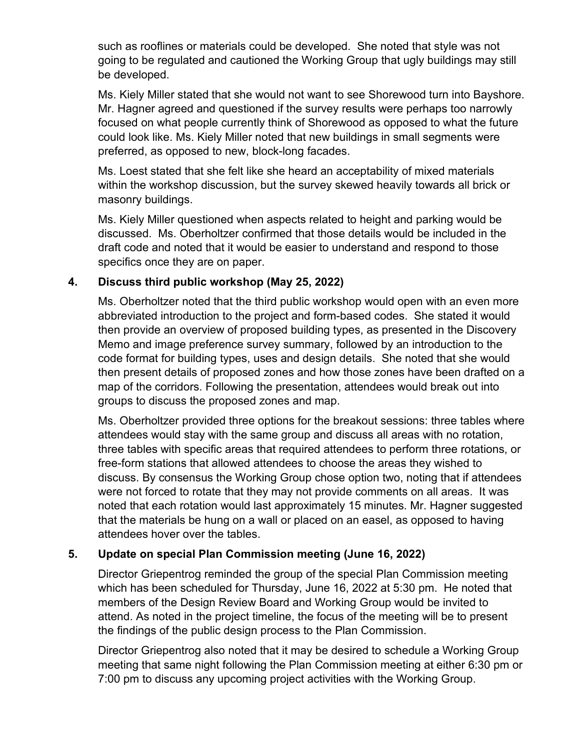such as rooflines or materials could be developed. She noted that style was not going to be regulated and cautioned the Working Group that ugly buildings may still be developed.

Ms. Kiely Miller stated that she would not want to see Shorewood turn into Bayshore. Mr. Hagner agreed and questioned if the survey results were perhaps too narrowly focused on what people currently think of Shorewood as opposed to what the future could look like. Ms. Kiely Miller noted that new buildings in small segments were preferred, as opposed to new, block-long facades.

Ms. Loest stated that she felt like she heard an acceptability of mixed materials within the workshop discussion, but the survey skewed heavily towards all brick or masonry buildings.

Ms. Kiely Miller questioned when aspects related to height and parking would be discussed. Ms. Oberholtzer confirmed that those details would be included in the draft code and noted that it would be easier to understand and respond to those specifics once they are on paper.

#### **4. Discuss third public workshop (May 25, 2022)**

Ms. Oberholtzer noted that the third public workshop would open with an even more abbreviated introduction to the project and form-based codes. She stated it would then provide an overview of proposed building types, as presented in the Discovery Memo and image preference survey summary, followed by an introduction to the code format for building types, uses and design details. She noted that she would then present details of proposed zones and how those zones have been drafted on a map of the corridors. Following the presentation, attendees would break out into groups to discuss the proposed zones and map.

Ms. Oberholtzer provided three options for the breakout sessions: three tables where attendees would stay with the same group and discuss all areas with no rotation, three tables with specific areas that required attendees to perform three rotations, or free-form stations that allowed attendees to choose the areas they wished to discuss. By consensus the Working Group chose option two, noting that if attendees were not forced to rotate that they may not provide comments on all areas. It was noted that each rotation would last approximately 15 minutes. Mr. Hagner suggested that the materials be hung on a wall or placed on an easel, as opposed to having attendees hover over the tables.

# **5. Update on special Plan Commission meeting (June 16, 2022)**

Director Griepentrog reminded the group of the special Plan Commission meeting which has been scheduled for Thursday, June 16, 2022 at 5:30 pm. He noted that members of the Design Review Board and Working Group would be invited to attend. As noted in the project timeline, the focus of the meeting will be to present the findings of the public design process to the Plan Commission.

Director Griepentrog also noted that it may be desired to schedule a Working Group meeting that same night following the Plan Commission meeting at either 6:30 pm or 7:00 pm to discuss any upcoming project activities with the Working Group.